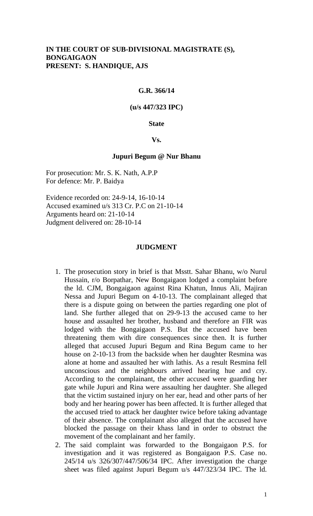## **IN THE COURT OF SUB-DIVISIONAL MAGISTRATE (S), BONGAIGAON PRESENT: S. HANDIQUE, AJS**

### **G.R. 366/14**

### **(u/s 447/323 IPC)**

### **State**

### **Vs.**

#### **Jupuri Begum @ Nur Bhanu**

For prosecution: Mr. S. K. Nath, A.P.P For defence: Mr. P. Baidya

Evidence recorded on: 24-9-14, 16-10-14 Accused examined u/s 313 Cr. P.C on 21-10-14 Arguments heard on: 21-10-14 Judgment delivered on: 28-10-14

### **JUDGMENT**

- 1. The prosecution story in brief is that Msstt. Sahar Bhanu, w/o Nurul Hussain, r/o Borpathar, New Bongaigaon lodged a complaint before the ld. CJM, Bongaigaon against Rina Khatun, Innus Ali, Majiran Nessa and Jupuri Begum on 4-10-13. The complainant alleged that there is a dispute going on between the parties regarding one plot of land. She further alleged that on 29-9-13 the accused came to her house and assaulted her brother, husband and therefore an FIR was lodged with the Bongaigaon P.S. But the accused have been threatening them with dire consequences since then. It is further alleged that accused Jupuri Begum and Rina Begum came to her house on 2-10-13 from the backside when her daughter Resmina was alone at home and assaulted her with lathis. As a result Resmina fell unconscious and the neighbours arrived hearing hue and cry. According to the complainant, the other accused were guarding her gate while Jupuri and Rina were assaulting her daughter. She alleged that the victim sustained injury on her ear, head and other parts of her body and her hearing power has been affected. It is further alleged that the accused tried to attack her daughter twice before taking advantage of their absence. The complainant also alleged that the accused have blocked the passage on their khass land in order to obstruct the movement of the complainant and her family.
- 2. The said complaint was forwarded to the Bongaigaon P.S. for investigation and it was registered as Bongaigaon P.S. Case no. 245/14 u/s 326/307/447/506/34 IPC. After investigation the charge sheet was filed against Jupuri Begum u/s 447/323/34 IPC. The ld.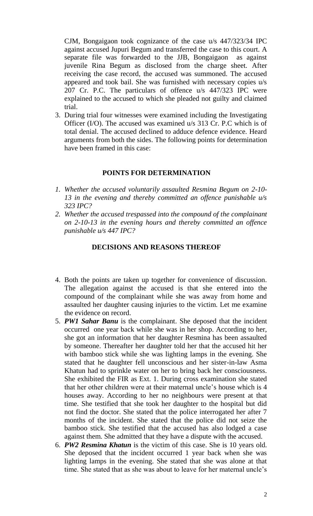CJM, Bongaigaon took cognizance of the case u/s 447/323/34 IPC against accused Jupuri Begum and transferred the case to this court. A separate file was forwarded to the JJB, Bongaigaon as against juvenile Rina Begum as disclosed from the charge sheet. After receiving the case record, the accused was summoned. The accused appeared and took bail. She was furnished with necessary copies u/s 207 Cr. P.C. The particulars of offence u/s 447/323 IPC were explained to the accused to which she pleaded not guilty and claimed trial.

3. During trial four witnesses were examined including the Investigating Officer (I/O). The accused was examined u/s 313 Cr. P.C which is of total denial. The accused declined to adduce defence evidence. Heard arguments from both the sides. The following points for determination have been framed in this case:

## **POINTS FOR DETERMINATION**

- *1. Whether the accused voluntarily assaulted Resmina Begum on 2-10- 13 in the evening and thereby committed an offence punishable u/s 323 IPC?*
- *2. Whether the accused trespassed into the compound of the complainant on 2-10-13 in the evening hours and thereby committed an offence punishable u/s 447 IPC?*

### **DECISIONS AND REASONS THEREOF**

- 4. Both the points are taken up together for convenience of discussion. The allegation against the accused is that she entered into the compound of the complainant while she was away from home and assaulted her daughter causing injuries to the victim. Let me examine the evidence on record.
- 5. *PW1 Sahar Banu* is the complainant. She deposed that the incident occurred one year back while she was in her shop. According to her, she got an information that her daughter Resmina has been assaulted by someone. Thereafter her daughter told her that the accused hit her with bamboo stick while she was lighting lamps in the evening. She stated that he daughter fell unconscious and her sister-in-law Asma Khatun had to sprinkle water on her to bring back her consciousness. She exhibited the FIR as Ext. 1. During cross examination she stated that her other children were at their maternal uncle's house which is 4 houses away. According to her no neighbours were present at that time. She testified that she took her daughter to the hospital but did not find the doctor. She stated that the police interrogated her after 7 months of the incident. She stated that the police did not seize the bamboo stick. She testified that the accused has also lodged a case against them. She admitted that they have a dispute with the accused.
- 6. *PW2 Resmina Khatun* is the victim of this case. She is 10 years old. She deposed that the incident occurred 1 year back when she was lighting lamps in the evening. She stated that she was alone at that time. She stated that as she was about to leave for her maternal uncle's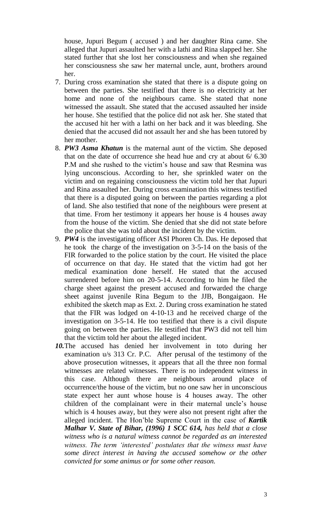house, Jupuri Begum ( accused ) and her daughter Rina came. She alleged that Jupuri assaulted her with a lathi and Rina slapped her. She stated further that she lost her consciousness and when she regained her consciousness she saw her maternal uncle, aunt, brothers around her.

- 7. During cross examination she stated that there is a dispute going on between the parties. She testified that there is no electricity at her home and none of the neighbours came. She stated that none witnessed the assault. She stated that the accused assaulted her inside her house. She testified that the police did not ask her. She stated that the accused hit her with a lathi on her back and it was bleeding. She denied that the accused did not assault her and she has been tutored by her mother.
- 8. *PW3 Asma Khatun* is the maternal aunt of the victim. She deposed that on the date of occurrence she head hue and cry at about 6/ 6.30 P.M and she rushed to the victim's house and saw that Resmina was lying unconscious. According to her, she sprinkled water on the victim and on regaining consciousness the victim told her that Jupuri and Rina assaulted her. During cross examination this witness testified that there is a disputed going on between the parties regarding a plot of land. She also testified that none of the neighbours were present at that time. From her testimony it appears her house is 4 houses away from the house of the victim. She denied that she did not state before the police that she was told about the incident by the victim.
- 9. *PW4* is the investigating officer ASI Phoren Ch. Das. He deposed that he took the charge of the investigation on 3-5-14 on the basis of the FIR forwarded to the police station by the court. He visited the place of occurrence on that day. He stated that the victim had got her medical examination done herself. He stated that the accused surrendered before him on 20-5-14. According to him he filed the charge sheet against the present accused and forwarded the charge sheet against juvenile Rina Begum to the JJB, Bongaigaon. He exhibited the sketch map as Ext. 2. During cross examination he stated that the FIR was lodged on 4-10-13 and he received charge of the investigation on 3-5-14. He too testified that there is a civil dispute going on between the parties. He testified that PW3 did not tell him that the victim told her about the alleged incident.
- *10.*The accused has denied her involvement in toto during her examination u/s 313 Cr. P.C. After perusal of the testimony of the above prosecution witnesses, it appears that all the three non formal witnesses are related witnesses. There is no independent witness in this case. Although there are neighbours around place of occurrence/the house of the victim, but no one saw her in unconscious state expect her aunt whose house is 4 houses away. The other children of the complainant were in their maternal uncle's house which is 4 houses away, but they were also not present right after the alleged incident. The Hon'ble Supreme Court in the case of *Kartik Malhar V. State of Bihar, (1996) 1 SCC 614, has held that a close witness who is a natural witness cannot be regarded as an interested witness. The term 'interested' postulates that the witness must have some direct interest in having the accused somehow or the other convicted for some animus or for some other reason.*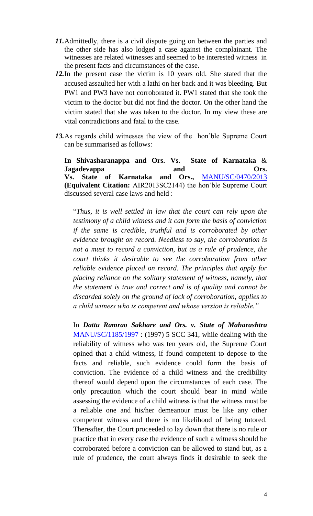- *11.*Admittedly, there is a civil dispute going on between the parties and the other side has also lodged a case against the complainant. The witnesses are related witnesses and seemed to be interested witness in the present facts and circumstances of the case.
- *12.*In the present case the victim is 10 years old. She stated that the accused assaulted her with a lathi on her back and it was bleeding. But PW1 and PW3 have not corroborated it. PW1 stated that she took the victim to the doctor but did not find the doctor. On the other hand the victim stated that she was taken to the doctor. In my view these are vital contradictions and fatal to the case.
- *13.*As regards child witnesses the view of the hon'ble Supreme Court can be summarised as follows*:*

**In Shivasharanappa and Ors. Vs. State of Karnataka** & **Jagadevappa** and Ors. **Vs. State of Karnataka and Ors.,** [MANU/SC/0470/2013](javascript:fnCitation() **(Equivalent Citation:** AIR2013SC2144) the hon'ble Supreme Court discussed several case laws and held :

"*Thus, it is well settled in law that the court can rely upon the testimony of a child witness and it can form the basis of conviction if the same is credible, truthful and is corroborated by other evidence brought on record. Needless to say, the corroboration is not a must to record a conviction, but as a rule of prudence, the court thinks it desirable to see the corroboration from other reliable evidence placed on record. The principles that apply for placing reliance on the solitary statement of witness, namely, that the statement is true and correct and is of quality and cannot be discarded solely on the ground of lack of corroboration, applies to a child witness who is competent and whose version is reliable."*

In *Dattu Ramrao Sakhare and Ors. v. State of Maharashtra* [MANU/SC/1185/1997](javascript:fnOpenGlobalPopUp() : (1997) 5 SCC 341, while dealing with the reliability of witness who was ten years old, the Supreme Court opined that a child witness, if found competent to depose to the facts and reliable, such evidence could form the basis of conviction. The evidence of a child witness and the credibility thereof would depend upon the circumstances of each case. The only precaution which the court should bear in mind while assessing the evidence of a child witness is that the witness must be a reliable one and his/her demeanour must be like any other competent witness and there is no likelihood of being tutored. Thereafter, the Court proceeded to lay down that there is no rule or practice that in every case the evidence of such a witness should be corroborated before a conviction can be allowed to stand but, as a rule of prudence, the court always finds it desirable to seek the